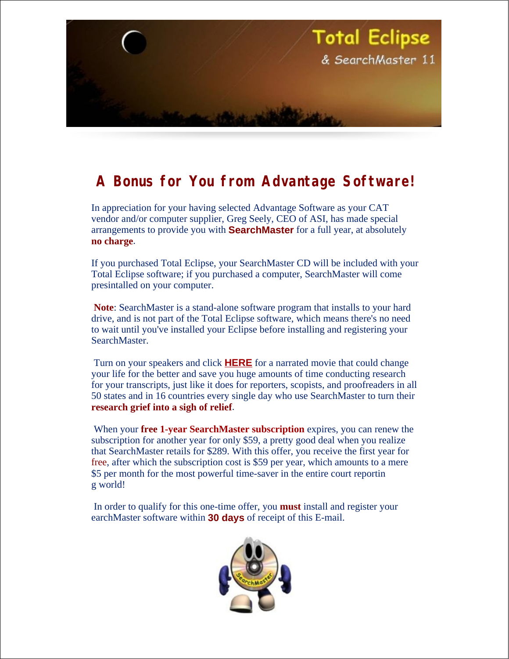

## **A Bonus for You from Advantage Software!**

In appreciation for your having selected Advantage Software as your CAT vendor and/or computer supplier, Greg Seely, CEO of ASI, has made special arrangements to provide you with **SearchMaster** for a full year, at absolutely **no charge**.

If you purchased Total Eclipse, your SearchMaster CD will be included with your Total Eclipse software; if you purchased a computer, SearchMaster will come presintalled on your computer.

**Note**: SearchMaster is a stand-alone software program that installs to your hard drive, and is not part of the Total Eclipse software, which means there's no need to wait until you've installed your Eclipse before installing and registering your SearchMaster.

 Turn on your speakers and click **HERE** for a narrated movie that could change your life for the better and save you huge amounts of time conducting research for your transcripts, just like it does for reporters, scopists, and proofreaders in all 50 states and in 16 countries every single day who use SearchMaster to turn their **research grief into a sigh of relief**.

 When your **free 1-year SearchMaster subscription** expires, you can renew the subscription for another year for only \$59, a pretty good deal when you realize that SearchMaster retails for \$289. With this offer, you receive the first year for free, after which the subscription cost is \$59 per year, which amounts to a mere \$5 per month for the most powerful time-saver in the entire court reportin g world!

 In order to qualify for this one-time offer, you **must** install and register your earchMaster software within **30 days** of receipt of this E-mail.